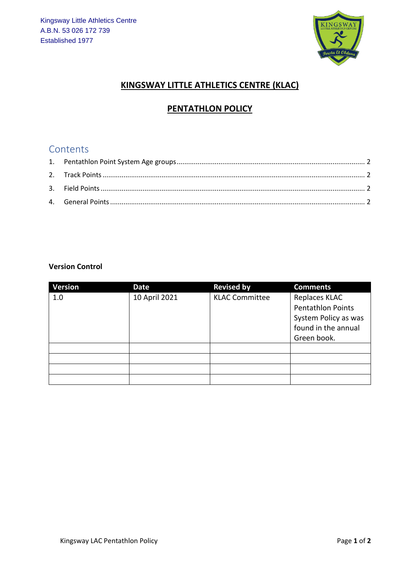

#### **KINGSWAY LITTLE ATHLETICS CENTRE (KLAC)**

## **PENTATHLON POLICY**

# Contents

#### **Version Control**

| <b>Version</b> | Date          | <b>Revised by</b>     | <b>Comments</b>                                                                          |
|----------------|---------------|-----------------------|------------------------------------------------------------------------------------------|
| 1.0            | 10 April 2021 | <b>KLAC Committee</b> | Replaces KLAC<br><b>Pentathlon Points</b><br>System Policy as was<br>found in the annual |
|                |               |                       | Green book.                                                                              |
|                |               |                       |                                                                                          |
|                |               |                       |                                                                                          |
|                |               |                       |                                                                                          |